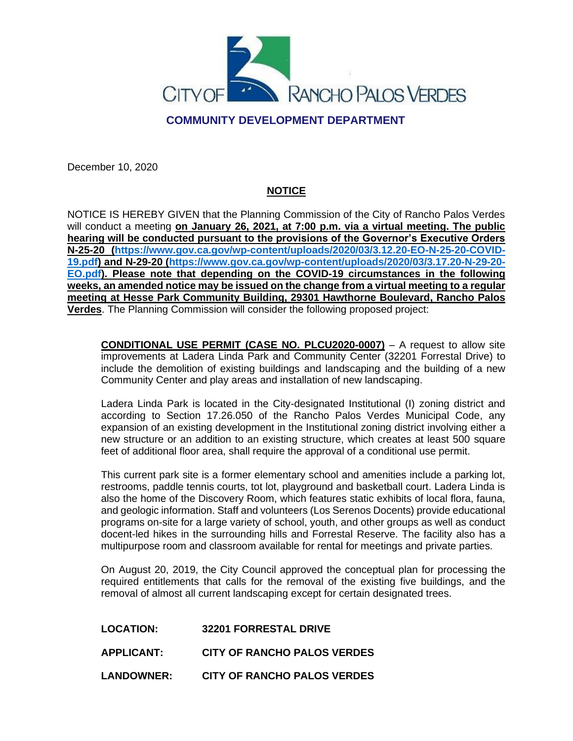

## **COMMUNITY DEVELOPMENT DEPARTMENT**

December 10, 2020

# **NOTICE**

NOTICE IS HEREBY GIVEN that the Planning Commission of the City of Rancho Palos Verdes will conduct a meeting **on January 26, 2021, at 7:00 p.m. via a virtual meeting. The public hearing will be conducted pursuant to the provisions of the Governor's Executive Orders N-25-20 [\(https://www.gov.ca.gov/wp-content/uploads/2020/03/3.12.20-EO-N-25-20-COVID-](https://www.gov.ca.gov/wp-content/uploads/2020/03/3.12.20-EO-N-25-20-COVID-19.pdf)[19.pdf\)](https://www.gov.ca.gov/wp-content/uploads/2020/03/3.12.20-EO-N-25-20-COVID-19.pdf) and N-29-20 [\(https://www.gov.ca.gov/wp-content/uploads/2020/03/3.17.20-N-29-20-](https://www.gov.ca.gov/wp-content/uploads/2020/03/3.17.20-N-29-20-EO.pdf) [EO.pdf\)](https://www.gov.ca.gov/wp-content/uploads/2020/03/3.17.20-N-29-20-EO.pdf). Please note that depending on the COVID-19 circumstances in the following weeks, an amended notice may be issued on the change from a virtual meeting to a regular meeting at Hesse Park Community Building, 29301 Hawthorne Boulevard, Rancho Palos Verdes**. The Planning Commission will consider the following proposed project:

**CONDITIONAL USE PERMIT (CASE NO. PLCU2020-0007)** – A request to allow site improvements at Ladera Linda Park and Community Center (32201 Forrestal Drive) to include the demolition of existing buildings and landscaping and the building of a new Community Center and play areas and installation of new landscaping.

Ladera Linda Park is located in the City-designated Institutional (I) zoning district and according to Section 17.26.050 of the Rancho Palos Verdes Municipal Code, any expansion of an existing development in the Institutional zoning district involving either a new structure or an addition to an existing structure, which creates at least 500 square feet of additional floor area, shall require the approval of a conditional use permit.

This current park site is a former elementary school and amenities include a parking lot, restrooms, paddle tennis courts, tot lot, playground and basketball court. Ladera Linda is also the home of the Discovery Room, which features static exhibits of local flora, fauna, and geologic information. Staff and volunteers (Los Serenos Docents) provide educational programs on-site for a large variety of school, youth, and other groups as well as conduct docent-led hikes in the surrounding hills and Forrestal Reserve. The facility also has a multipurpose room and classroom available for rental for meetings and private parties.

On August 20, 2019, the City Council approved the conceptual plan for processing the required entitlements that calls for the removal of the existing five buildings, and the removal of almost all current landscaping except for certain designated trees.

**LOCATION: 32201 FORRESTAL DRIVE**

**APPLICANT: CITY OF RANCHO PALOS VERDES**

**LANDOWNER: CITY OF RANCHO PALOS VERDES**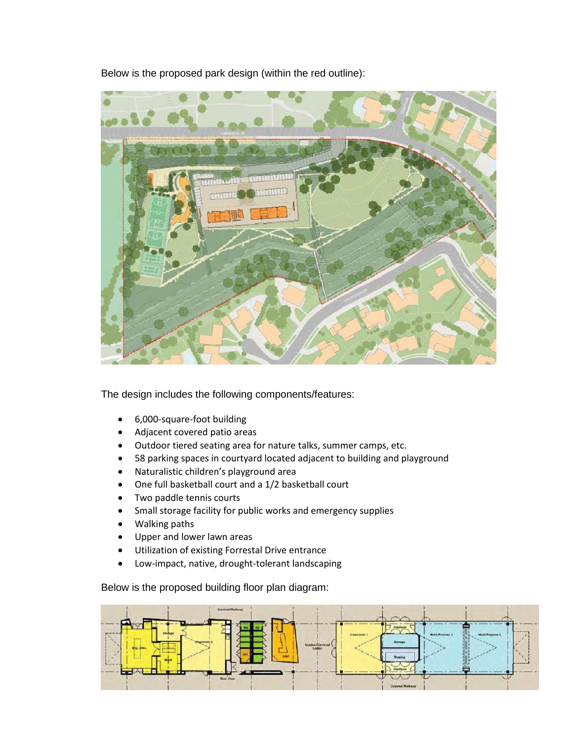Below is the proposed park design (within the red outline):



The design includes the following components/features:

- 6,000-square-foot building
- Adjacent covered patio areas
- Outdoor tiered seating area for nature talks, summer camps, etc.
- 58 parking spaces in courtyard located adjacent to building and playground
- Naturalistic children's playground area
- One full basketball court and a 1/2 basketball court
- Two paddle tennis courts
- Small storage facility for public works and emergency supplies
- Walking paths
- Upper and lower lawn areas
- Utilization of existing Forrestal Drive entrance
- Low-impact, native, drought-tolerant landscaping

Below is the proposed building floor plan diagram:

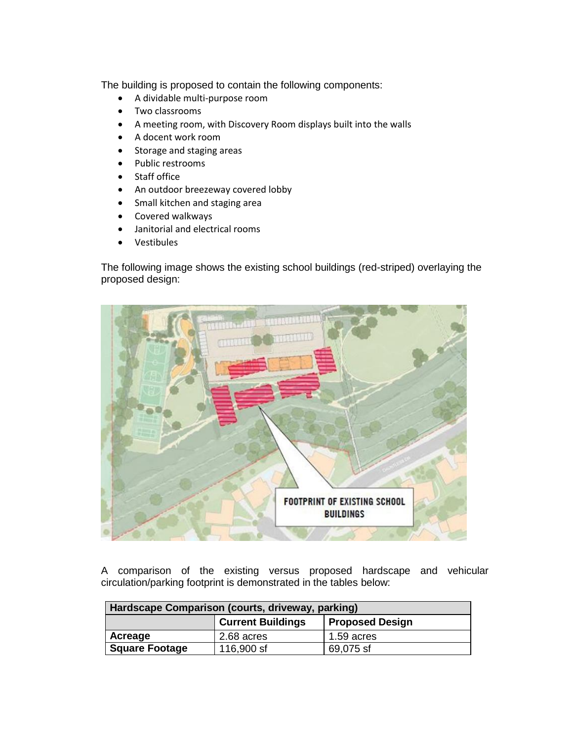The building is proposed to contain the following components:

- A dividable multi-purpose room
- Two classrooms
- A meeting room, with Discovery Room displays built into the walls
- A docent work room
- Storage and staging areas
- Public restrooms
- Staff office
- An outdoor breezeway covered lobby
- Small kitchen and staging area
- Covered walkways
- Janitorial and electrical rooms
- Vestibules

The following image shows the existing school buildings (red-striped) overlaying the proposed design:



A comparison of the existing versus proposed hardscape and vehicular circulation/parking footprint is demonstrated in the tables below:

| Hardscape Comparison (courts, driveway, parking) |                          |                        |  |  |
|--------------------------------------------------|--------------------------|------------------------|--|--|
|                                                  | <b>Current Buildings</b> | <b>Proposed Design</b> |  |  |
| Acreage                                          | 2.68 acres               | $1.59$ acres           |  |  |
| <b>Square Footage</b>                            | 116,900 sf               | 69,075 sf              |  |  |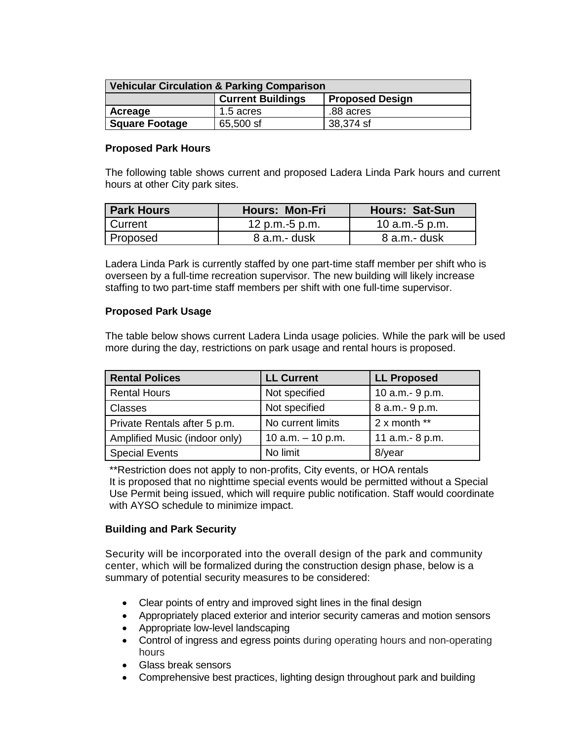| <b>Vehicular Circulation &amp; Parking Comparison</b> |                          |                        |  |  |
|-------------------------------------------------------|--------------------------|------------------------|--|--|
|                                                       | <b>Current Buildings</b> | <b>Proposed Design</b> |  |  |
| Acreage                                               | 1.5 acres                | .88 acres              |  |  |
| <b>Square Footage</b>                                 | 65,500 sf                | 38,374 sf              |  |  |

#### **Proposed Park Hours**

The following table shows current and proposed Ladera Linda Park hours and current hours at other City park sites.

| <b>Park Hours</b> | <b>Hours: Mon-Fri</b> | <b>Hours: Sat-Sun</b> |
|-------------------|-----------------------|-----------------------|
| <b>Current</b>    | 12 p.m.-5 p.m.        | 10 $a.m.-5 p.m.$      |
| Proposed          | $8$ a.m.- dusk        | 8 a.m.- dusk          |

Ladera Linda Park is currently staffed by one part-time staff member per shift who is overseen by a full-time recreation supervisor. The new building will likely increase staffing to two part-time staff members per shift with one full-time supervisor.

#### **Proposed Park Usage**

The table below shows current Ladera Linda usage policies. While the park will be used more during the day, restrictions on park usage and rental hours is proposed.

| <b>Rental Polices</b>         | <b>LL Current</b>   | <b>LL Proposed</b> |
|-------------------------------|---------------------|--------------------|
| <b>Rental Hours</b>           | Not specified       | 10 a.m.- 9 p.m.    |
| Classes                       | Not specified       | 8 a.m. - 9 p.m.    |
| Private Rentals after 5 p.m.  | No current limits   | $2x$ month **      |
| Amplified Music (indoor only) | 10 a.m. $-$ 10 p.m. | 11 a.m.- 8 p.m.    |
| <b>Special Events</b>         | No limit            | 8/year             |

\*\*Restriction does not apply to non-profits, City events, or HOA rentals It is proposed that no nighttime special events would be permitted without a Special Use Permit being issued, which will require public notification. Staff would coordinate with AYSO schedule to minimize impact.

### **Building and Park Security**

Security will be incorporated into the overall design of the park and community center, which will be formalized during the construction design phase, below is a summary of potential security measures to be considered:

- Clear points of entry and improved sight lines in the final design
- Appropriately placed exterior and interior security cameras and motion sensors
- Appropriate low-level landscaping
- Control of ingress and egress points during operating hours and non-operating hours
- Glass break sensors
- Comprehensive best practices, lighting design throughout park and building